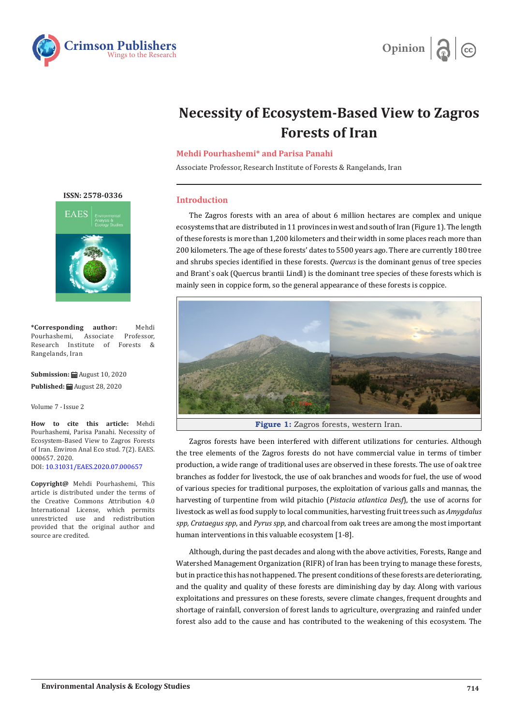



# **Necessity of Ecosystem-Based View to Zagros Forests of Iran**

## **Mehdi Pourhashemi\* and Parisa Panahi**

Associate Professor, Research Institute of Forests & Rangelands, Iran

### **Introduction**

The Zagros forests with an area of about 6 million hectares are complex and unique ecosystems that are distributed in 11 provinces in west and south of Iran (Figure 1). The length of these forests is more than 1,200 kilometers and their width in some places reach more than 200 kilometers. The age of these forests' dates to 5500 years ago. There are currently 180 tree and shrubs species identified in these forests. *Quercus* is the dominant genus of tree species and Brant`s oak (Quercus brantii Lindl) is the dominant tree species of these forests which is mainly seen in coppice form, so the general appearance of these forests is coppice.



**Figure 1:** Zagros forests, western Iran.

Zagros forests have been interfered with different utilizations for centuries. Although the tree elements of the Zagros forests do not have commercial value in terms of timber production, a wide range of traditional uses are observed in these forests. The use of oak tree branches as fodder for livestock, the use of oak branches and woods for fuel, the use of wood of various species for traditional purposes, the exploitation of various galls and mannas, the harvesting of turpentine from wild pitachio (*Pistacia atlantica Desf*), the use of acorns for livestock as well as food supply to local communities, harvesting fruit trees such as *Amygdalus spp, Crataegus spp*, and *Pyrus spp*, and charcoal from oak trees are among the most important human interventions in this valuable ecosystem [1-8].

Although, during the past decades and along with the above activities, Forests, Range and Watershed Management Organization (RIFR) of Iran has been trying to manage these forests, but in practice this has not happened. The present conditions of these forests are deteriorating, and the quality and quality of these forests are diminishing day by day. Along with various exploitations and pressures on these forests, severe climate changes, frequent droughts and shortage of rainfall, conversion of forest lands to agriculture, overgrazing and rainfed under forest also add to the cause and has contributed to the weakening of this ecosystem. The

**[ISSN: 2578-0336](https://www.crimsonpublishers.com/eaes/)**



**\*Corresponding author:** Mehdi Pourhashemi, Research Institute of Forests & Rangelands, Iran

**Submission:** August 10, 2020 **Published:** August 28, 2020

Volume 7 - Issue 2

**How to cite this article:** Mehdi Pourhashemi, Parisa Panahi. Necessity of Ecosystem-Based View to Zagros Forests of Iran. Environ Anal Eco stud. 7(2). EAES. 000657. 2020. DOI: [10.31031/EAES.2020.07.000657](http://dx.doi.org/10.31031/EAES.2020.07.000657)

**Copyright@** Mehdi Pourhashemi, This article is distributed under the terms of the Creative Commons Attribution 4.0 International License, which permits unrestricted use and redistribution provided that the original author and source are credited.